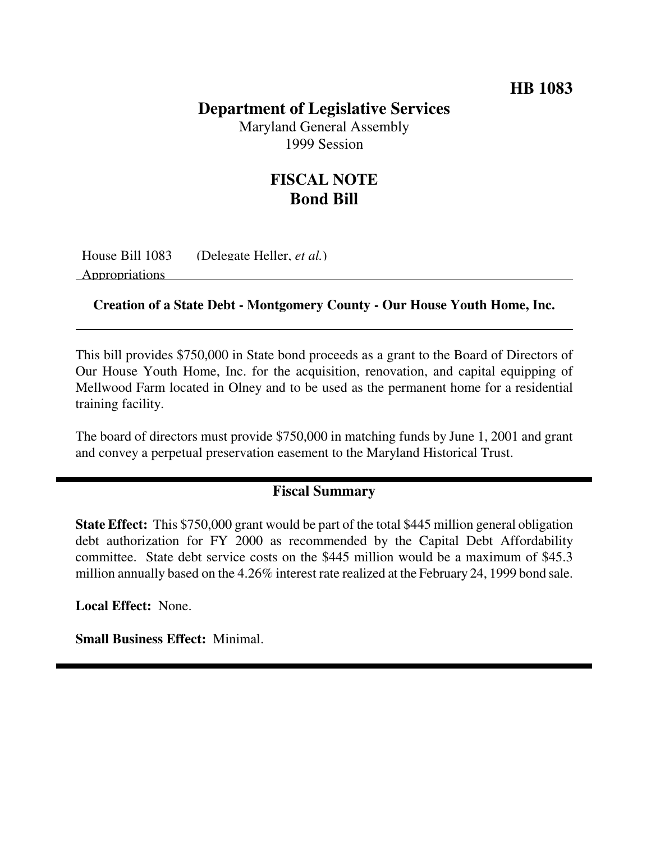## **HB 1083**

### **Department of Legislative Services**

Maryland General Assembly 1999 Session

# **FISCAL NOTE Bond Bill**

House Bill 1083 (Delegate Heller, *et al.*) Appropriations

#### **Creation of a State Debt - Montgomery County - Our House Youth Home, Inc.**

This bill provides \$750,000 in State bond proceeds as a grant to the Board of Directors of Our House Youth Home, Inc. for the acquisition, renovation, and capital equipping of Mellwood Farm located in Olney and to be used as the permanent home for a residential training facility.

The board of directors must provide \$750,000 in matching funds by June 1, 2001 and grant and convey a perpetual preservation easement to the Maryland Historical Trust.

#### **Fiscal Summary**

**State Effect:** This \$750,000 grant would be part of the total \$445 million general obligation debt authorization for FY 2000 as recommended by the Capital Debt Affordability committee. State debt service costs on the \$445 million would be a maximum of \$45.3 million annually based on the 4.26% interest rate realized at the February 24, 1999 bond sale.

**Local Effect:** None.

**Small Business Effect:** Minimal.